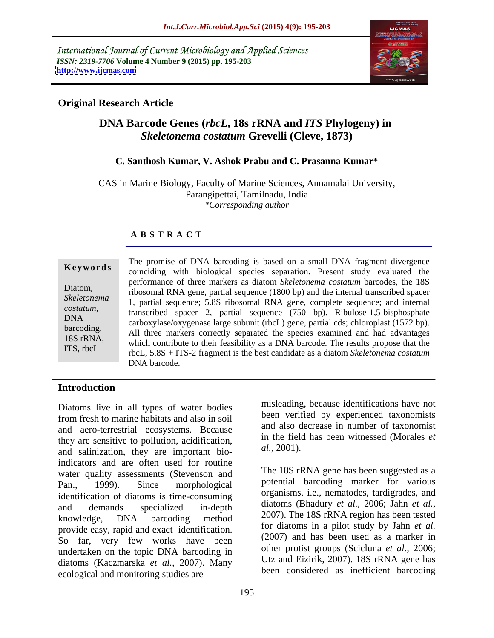International Journal of Current Microbiology and Applied Sciences *ISSN: 2319-7706* **Volume 4 Number 9 (2015) pp. 195-203 <http://www.ijcmas.com>**



### **Original Research Article**

# **DNA Barcode Genes (***rbcL***, 18s rRNA and** *ITS* **Phylogeny) in** *Skeletonema costatum* **Grevelli (Cleve, 1873)**

### **C. Santhosh Kumar, V. Ashok Prabu and C. Prasanna Kumar\***

CAS in Marine Biology, Faculty of Marine Sciences, Annamalai University, Parangipettai, Tamilnadu, India *\*Corresponding author*

### **A B S T R A C T**

ITS, rbcL

**Example 18** coinciding with biological species separation. Present study evaluated the The promise of DNA barcoding is based on a small DNA fragment divergence performance of three markers as diatom *Skeletonema costatum* barcodes, the 18S Diatom,<br>
ribosomal RNA gene, partial sequence (1800 bp) and the internal transcribed spacer Skeletonema 1, partial sequence; 5.8S ribosomal RNA gene, complete sequence; and internal transcribed spacer 2, partial sequence (750 bp). Ribulose-1,5-bisphosphate *costatum,*   $N_A$  carboxylase/oxygenase large subunit (rbcL) gene, partial cds; chloroplast (1572 bp). barcoding,<br>All three markers correctly separated the species examined and had advantages 18S rRNA,<br>which contribute to their feasibility as a DNA barcode. The results propose that the rbcL, 5.8S + ITS-2 fragment is the best candidate as a diatom *Skeletonema costatum*  DNA barcode.

### **Introduction**

Diatoms live in all types of water bodies from fresh to marine habitats and also in soil and aero-terrestrial ecosystems. Because they are sensitive to pollution, acidification,  $\frac{1}{10}$  and selinization, they are important bio  $\frac{1}{10}$  al., 2001). and salinization, they are important bioindicators and are often used for routine water quality assessments (Stevenson and Pan., 1999). Since morphological potential barcoding marker for various identification of diatoms is time-consuming and demands specialized in-depth  $\frac{\text{unatoms}}{\text{2007}}$   $\frac{\text{m} \times \text{100}}{\text{m}}$  and  $\frac{\text{unatoms}}{\text{2007}}$  and  $\frac{\text{unbow}}{\text{2007}}$  and  $\frac{\text{unbow}}{\text{2007}}$  and  $\frac{\text{unbow}}{\text{2007}}$  and  $\frac{\text{unbow}}{\text{2007}}$  and  $\frac{\text{unbow}}{\text{2007}}$  and  $\frac$ knowledge, DNA barcoding method  $\frac{2007}{100}$  in the 18S rKNA region has been lested provide easy, rapid and exact identification. So far, very few works have been undertaken on the topic DNA barcoding in diatoms (Kaczmarska *et al.,* 2007). Many ecological and monitoring studies are

misleading, because identifications have not been verified by experienced taxonomists and also decrease in number of taxonomist in the field has been witnessed (Morales *et al.,* 2001).

The 18S rRNA gene has been suggested as a organisms. i.e., nematodes, tardigrades, and diatoms (Bhadury *et al.,* 2006; Jahn *et al.,* 2007). The 18S rRNA region has been tested for diatoms in a pilot study by Jahn *et al.* (2007) and has been used as a marker in other protist groups (Scicluna *et al.,* 2006; Utz and Eizirik, 2007). 18S rRNA gene has been considered as inefficient barcoding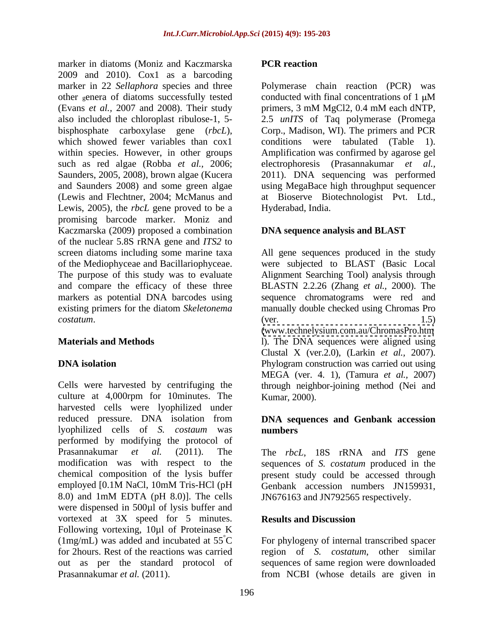marker in diatoms (Moniz and Kaczmarska PCR reaction 2009 and 2010). Cox1 as a barcoding marker in 22 *Sellaphora* species and three other genera of diatoms successfully tested conducted with final concentrations of 1  $\mu$ M (Evans *et al.,* 2007 and 2008). Their study also included the chloroplast ribulose-1,5- 2.5 *unITS* of Taq polymerase (Promega bisphosphate carboxylase gene (*rbcL*), Corp., Madison, WI). The primers and PCR which showed fewer variables than  $\cos 1$  conditions were tabulated (Table 1). within species. However, in other groups Amplification was confirmed by agarose gel such as red algae (Robba *et al.,* 2006; electrophoresis (Prasannakumar *et al.,* Saunders, 2005, 2008), brown algae (Kucera 2011). DNA sequencing was performed and Saunders 2008) and some green algae using MegaBace high throughput sequencer (Lewis and Flechtner, 2004; McManus and at Bioserve Biotechnologist Pvt. Ltd., Lewis, 2005), the *rbcL* gene proved to be a promising barcode marker. Moniz and Kaczmarska (2009) proposed a combination of the nuclear 5.8S rRNA gene and *ITS2* to screen diatoms including some marine taxa All gene sequences produced in the study of the Mediophyceae and Bacillariophyceae. were subjected to BLAST (Basic Local The purpose of this study was to evaluate Alignment Searching Tool) analysis through and compare the efficacy of these three BLASTN 2.2.26 (Zhang *et al.,* 2000).The markers as potential DNA barcodes using sequence chromatograms were red and existing primers for the diatom *Skeletonema*  manually double checked using Chromas Pro *costatum*. (ver. 1.5)

Cells were harvested by centrifuging the through neighbor-joining method (Nei and culture at 4,000rpm for 10minutes. The harvested cells were lyophilized under reduced pressure. DNA isolation from **DNA sequences and Genbank accession** lyophilized cells of *S. costaum* was performed by modifying the protocol of Prasannakumar *et al.* (2011). The The *rbcL*, 18S rRNA and *ITS* gene modification was with respect to the sequences of *S. costatum* produced in the chemical composition of the lysis buffer present study could be accessed through employed [0.1M NaCl, 10mM Tris-HCl (pH Genbank accession numbers JN159931, 8.0) and 1mM EDTA (pH 8.0)]. The cells were dispensed in 500µl of lysis buffer and vortexed at 3X speed for 5 minutes. **Results and Discussion** Following vortexing, 10µl of Proteinase K (1mg/mL) was added and incubated at  $55^{\circ}$ C For phylogeny of internal transcribed spacer for 2hours. Rest of the reactions was carried region of *S. costatum*, other similar out as per the standard protocol of sequences of same region were downloaded Prasannakumar *et al.* (2011). **Frasannakumar** *et al.* (2011). **From NCBI** (whose details are given in

### **PCR reaction**

Polymerase chain reaction (PCR) was conducted with final concentrations of  $1 \mu M$ primers, 3 mM MgCl2, 0.4 mM each dNTP, Hyderabad, India.

### **DNA sequence analysis and BLAST**

**Materials and Methods** 1). The DNA sequences were aligned using **DNA isolation** Phylogram construction was carried out using (ver. 1.5) [\(www.technelysium.com.au/ChromasPro.htm](http://www.technelysium.com.au/ChromasPro.htm) Clustal X (ver.2.0), (Larkin *et al.,* 2007). MEGA (ver. 4. 1), (Tamura *et al.,* 2007)

# **numbers**

JN676163 and JN792565 respectively.

### **Results and Discussion**

Kumar, 2000).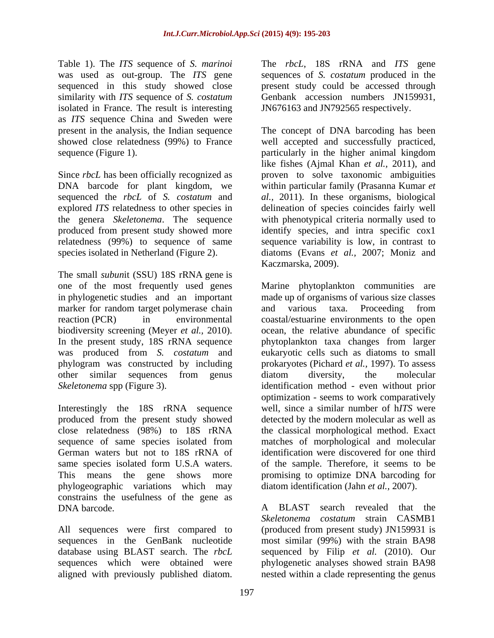sequenced in this study showed close isolated in France. The result is interesting as *ITS* sequence China and Sweden were

Since *rbcL* has been officially recognized as explored *ITS* relatedness to other species in

The small *subun*it (SSU) 18S rRNA gene is marker for random target polymerase chain and various taxa. Proceeding from

Interestingly the 18S rRNA sequence produced from the present study showed phylogeographic variations which may constrains the usefulness of the gene as DNA barcode. The same state of the BLAST search revealed that the problem of the search revealed that the problem of the search revealed that the problem of the search revealed that the search revealed that the search reve

All sequences were first compared to aligned with previously published diatom.

Table 1). The *ITS* sequence of *S. marinoi* The *rbcL*, 18S rRNA and *ITS* gene was used as out-group. The *ITS* gene sequences of *S. costatum* produced in the similarity with *ITS* sequence of *S. costatum* Genbank accession numbers JN159931, present study could be accessed through JN676163 and JN792565 respectively.

present in the analysis, the Indian sequence The concept of DNA barcoding has been showed close relatedness (99%) to France well accepted and successfully practiced, sequence (Figure 1). particularly in the higher animal kingdom DNA barcode for plant kingdom, we within particular family (Prasanna Kumar *et*  sequenced the *rbcL* of *S. costatum* and *al.,* 2011). In these organisms, biological the genera *Skeletonema*. The sequence with phenotypical criteria normally used to produced from present study showed more identify species, and intra specific cox1 relatedness (99%) to sequence of same sequence variability is low, in contrast to species isolated in Netherland (Figure 2). diatoms (Evans *et al.,* 2007; Moniz and like fishes (Ajmal Khan *et al.*, 2011), and proven to solve taxonomic ambiguities delineation of species coincides fairly well Kaczmarska, 2009).

one of the most frequently used genes Marine phytoplankton communities are in phylogenetic studies and an important made up of organisms of various size classes reaction (PCR) in environmental coastal/estuarine environments to the open biodiversity screening (Meyer *et al.,* 2010). ocean, the relative abundance of specific In the present study, 18S rRNA sequence phytoplankton taxa changes from larger was produced from *S. costatum* and eukaryotic cells such as diatoms to small phylogram was constructed by including prokaryotes (Pichard *et al.,* 1997). To assess other similar sequences from genus *Skeletonema* spp (Figure 3). identification method - even without prior close relatedness (98%) to 18S rRNA the classical morphological method. Exact sequence of same species isolated from matches of morphological and molecular German waters but not to 18S rRNA of identification were discovered for one third same species isolated form U.S.A waters. of the sample. Therefore, it seems to be This means the gene shows more promising to optimize DNA barcoding for and various taxa. Proceeding from diatom diversity, the molecular optimization - seems to work comparatively well, since a similar number of h*ITS* were detected by the modern molecular as well as diatom identification (Jahn *et al.,* 2007).

sequences in the GenBank nucleotide mostsimilar (99%) with the strain BA98 database using BLAST search. The *rbcL* sequenced by Filip *et al.* (2010). Our sequences which were obtained were phylogenetic analyses showed strain BA98 A BLAST search revealed that the *Skeletonema costatum* strain CASMB1 (produced from present study) JN159931 is nested within a clade representing the genus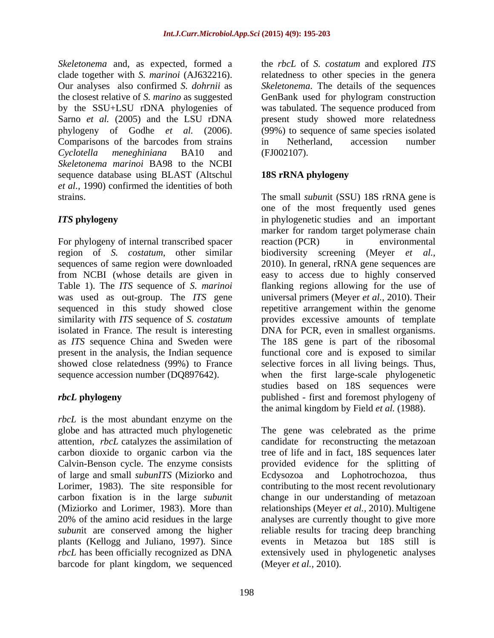*Skeletonema* and, as expected, formed a the *rbcL* of *S. costatum* and explored *ITS*  clade together with *S. marinoi* (AJ632216). relatedness to other species in the genera Our analyses also confirmed *S. dohrnii* as *Skeletonema*. The details of the sequences the closest relative of *S. marino* as suggested GenBank used for phylogram construction by the SSU+LSU rDNA phylogenies of was tabulated. The sequence produced from Sarno *et al.* (2005) and the LSU rDNA present study showed more relatedness phylogeny of Godhe *et al.* (2006). (99%) to sequence of same species isolated Comparisons of the barcodes from strains in Netherland, accession number *Cyclotella meneghiniana* BA10 and *Skeletonema marinoi* BA98 to the NCBI sequence database using BLAST (Altschul 18S rRNA phylogeny *et al.,* 1990) confirmed the identities of both

For phylogeny of internal transcribed spacer eaction (PCR) in environmental isolated in France. The result is interesting DNA for PCR, even in smallest organisms. as *ITS* sequence China and Sweden were The 18S gene is part of the ribosomal showed close relatedness (99%) to France

*rbcL* is the most abundant enzyme on the globe and has attracted much phylogenetic The gene was celebrated as the prime attention, *rbcL* catalyzes the assimilation of candidate for reconstructing the metazoan carbon dioxide to organic carbon via the tree of life and in fact, 18S sequences later Calvin-Benson cycle. The enzyme consists provided evidence for the splitting of of large and small *subunITS* (Miziorko and Lorimer, 1983). The site responsible for contributing to the most recent revolutionary carbon fixation is in the large *subun*it change in our understanding of metazoan (Miziorko and Lorimer, 1983). More than relationships (Meyer *et al.,* 2010). Multigene 20% of the amino acid residues in the large analyses are currently thought to give more *subun*it are conserved among the higher plants (Kellogg and Juliano, 1997). Since events in Metazoa but 18S still is *rbcL* has been officially recognized as DNA extensively used in phylogenetic analyses barcode for plant kingdom, we sequenced

in Netherland, accession number (FJ002107).

## **18S rRNA phylogeny**

strains. The small *subunit* (SSU) 18S rRNA gene is *ITS* **phylogeny** in phylogenetic studies and an important region of *S. costatum*, other similar biodiversity screening (Meyer *et al.,* sequences of same region were downloaded 2010). In general, rRNA gene sequences are from NCBI (whose details are given in easy to access due to highly conserved Table 1). The *ITS* sequence of *S. marinoi* flanking regions allowing for the use of was used as out-group. The *ITS* gene universalprimers (Meyer *et al.,* 2010). Their sequenced in this study showed close repetitive arrangement within the genome similarity with *ITS* sequence of *S. costatum* provides excessive amounts of template present in the analysis, the Indian sequence functional core and is exposed to similar sequence accession number (DQ897642). when the first large-scale phylogenetic *rbcL* **phylogeny** published - first and foremost phylogeny of one of the most frequently used genes marker for random target polymerase chain reaction (PCR) in environmental DNA for PCR, even in smallest organisms.<br>The 18S gene is part of the ribosomal selective forces in all living beings. Thus, studies based on 18S sequences were the animal kingdom by Field *et al.* (1988).

> Ecdysozoa and Lophotrochozoa, reliable results for tracing deep branching (Meyer *et al.,* 2010).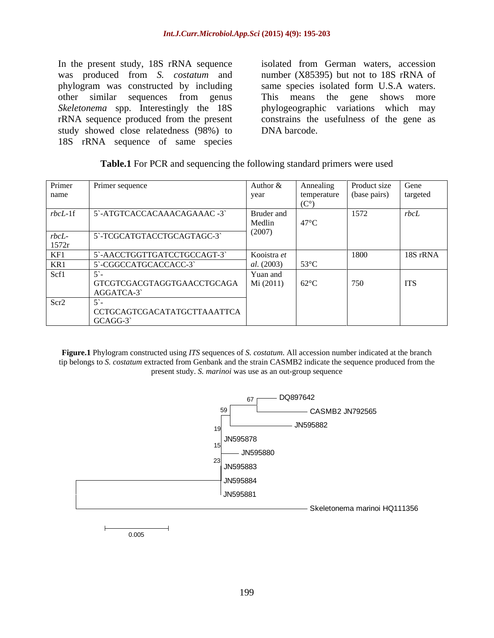In the present study, 18S rRNA sequence was produced from *S. costatum* and phylogram was constructed by including samespecies isolated form U.S.A waters. other similar sequences from genus This means the gene shows more *Skeletonema* spp. Interestingly the 18S phylogeographic variations which may rRNA sequence produced from the present constrains the usefulness of the gene as study showed close relatedness (98%) to DNA barcode. 18S rRNA sequence of same species

isolated from German waters, accession number (X85395) but not to 18S rRNA of This means the gene phylogeographic variations which may DNA barcode.

| Table.1 For PCR<br>$\sim$ $\sim$ $\sim$<br>or PCR and sequencing the following standard primers were used |  |  |  |
|-----------------------------------------------------------------------------------------------------------|--|--|--|
|                                                                                                           |  |  |  |

| Primer      | Primer sequence             | Author &    | Annealin       | Product size Gene    |            |
|-------------|-----------------------------|-------------|----------------|----------------------|------------|
| name        |                             | vear        | temperature    | (base pairs) argeted |            |
|             |                             |             |                |                      |            |
| $rbcL-1f$   | 5'-ATGTCACCACAAACAGAAAC -3  | Bruder and  |                | 1572                 | rbcL       |
|             |                             | Medlin      | $47^{\circ}$ C |                      |            |
| rbcL        | 5'-TCGCATGTACCTGCAGTAGC-3'  | (2007)      |                |                      |            |
| 1572r       |                             |             |                |                      |            |
| ____<br>KF1 | 5`-AACCTGGTTGATCCTGCCAGT-3` | Kooistra et |                | 1800                 | 18S rRNA   |
| KR1         | 5'-CGGCCATGCACCACC-3'       | al. (2003)  | $53^{\circ}$ C |                      |            |
| Scf1        |                             | Yuan and    |                |                      |            |
|             | GTCGTCGACGTAGGTGAACCTGCAGA  | Mi (2011)   | $62^{\circ}C$  | 750                  | <b>ITS</b> |
|             | AGGATCA-3                   |             |                |                      |            |
| Scr2        |                             |             |                |                      |            |
|             | CCTGCAGTCGACATATGCTTAAATTCA |             |                |                      |            |
|             | GCAGG-3                     |             |                |                      |            |

**Figure.1** Phylogram constructed using *ITS* sequences of *S. costatum*. All accession number indicated at the branch tip belongs to *S. costatum* extracted from Genbank and the strain CASMB2 indicate the sequence produced from the present study. *S. marinoi* was use as an out-group sequence



0.005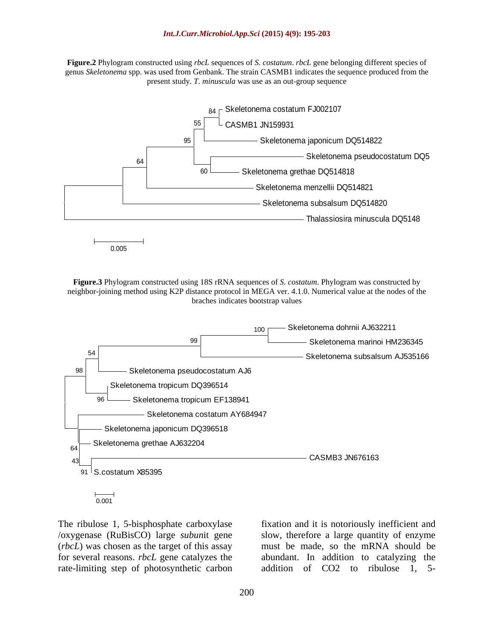**Figure.2** Phylogram constructed using *rbcL* sequences of *S. costatum*. *rbcL* gene belonging different species of genus *Skeletonema* spp. was used from Genbank. The strain CASMB1 indicates the sequence produced from the present study. *T. minuscula* was use as an out-group sequence



**Figure.3** Phylogram constructed using 18S rRNA sequences of *S. costatum*. Phylogram was constructed by neighbor-joining method using K2P distance protocol in MEGA ver. 4.1.0. Numerical value at the nodes of the braches indicates bootstrap values



0.001

The ribulose 1, 5-bisphosphate carboxylase fixation and it is notoriously inefficient and /oxygenase (RuBisCO) large *subun*it gene (*rbcL*) was chosen as the target of this assay for several reasons. *rbcL* gene catalyzes the rate-limiting step of photosynthetic carbon

slow, therefore a large quantity of enzyme must be made, so the mRNA should be abundant. In addition to catalyzing the addition of CO2 to ribulose 1, 5-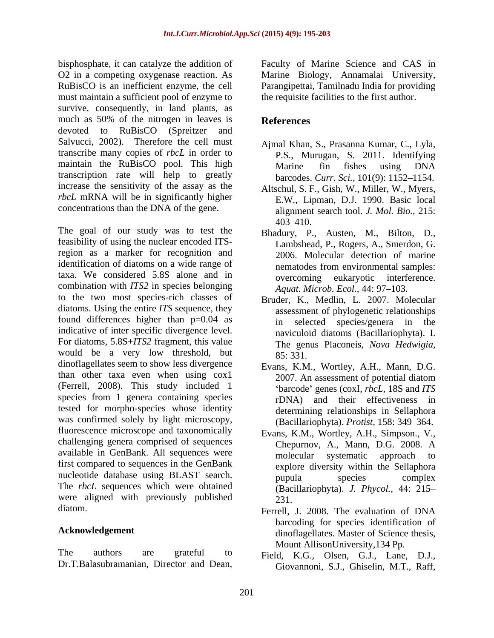bisphosphate, it can catalyze the addition of Faculty of Marine Science and CAS in O2 in a competing oxygenase reaction. As Marine Biology, Annamalai University, RuBisCO is an inefficient enzyme, the cell Parangipettai, Tamilnadu India for providing must maintain a sufficient pool of enzyme to survive, consequently, in land plants, as much as 50% of the nitrogen in leaves is **References** devoted to RuBisCO (Spreitzer and Salvucci, 2002). Therefore the cell must transcribe many copies of *rbcL* in order to maintain the RuBisCO pool. This high Marine fin fishes using DNA transcription rate will help to greatly increase the sensitivity of the assay as the *rbcL* mRNA will be in significantly higher

The goal of our study was to test the feasibility of using the nuclear encoded ITSregion as a marker for recognition and identification of diatoms on a wide range of nematodes from environmental samples: taxa. We considered 5.8S alone and in combination with *ITS2* in species belonging to the two most species-rich classes of diatoms. Using the entire *ITS* sequence, they found differences higher than p=0.04 as indicative of inter specific divergence level. For diatoms, 5.8S+*ITS2* fragment, this value would be a very low threshold, but  $85:331$ . dinoflagellates seem to show less divergence than other taxa even when using cox1 2007. An assessment of potential diatom (Ferrell, 2008). This study included 1 species from 1 genera containing species tested for morpho-species whose identity was confirmed solely by light microscopy, fluorescence microscope and taxonomically challenging genera comprised of sequences available in GenBank. All sequences were molecular systematic approach to first compared to sequences in the GenBank nucleotide database using BLAST search. pupula species complex The *rbcL* sequences which were obtained were aligned with previously published  $231$ . diatom. Ferrell, J. 2008. The evaluation of DNA

The authors are grateful to Field, K.G., Olsen, G.J., Lane, D.J., Dr.T.Balasubramanian, Director and Dean,

the requisite facilities to the first author.

# **References**

- Ajmal Khan, S., Prasanna Kumar, C., Lyla, P.S., Murugan, S. 2011. Identifying Marine fin fishes using DNA barcodes. *Curr. Sci.*, 101(9): 1152-1154.
- concentrations than the DNA of the gene. alignment search tool. *J. Mol. Bio.,* 215: Altschul, S. F., Gish, W., Miller, W., Myers, E.W., Lipman, D.J. 1990. Basic local 403 410.
	- Bhadury, P., Austen, M., Bilton, D., Lambshead, P., Rogers, A., Smerdon, G. 2006. Molecular detection of marine nematodes from environmental samples: overcoming eukaryotic interference. *Aquat. Microb. Ecol., 44: 97-103.*
	- Bruder, K., Medlin, L. 2007. Molecular assessment of phylogenetic relationships in selected species/genera in the naviculoid diatoms (Bacillariophyta). I. The genus Placoneis, *Nova Hedwigia,* 85: 331.
	- Evans, K.M., Wortley, A.H., Mann, D.G. 2007. An assessment of potential diatom *'barcode' genes (coxI, <i>rbcL, 18S and ITS*) rDNA) and their effectiveness in determining relationships in Sellaphora (Bacillariophyta). *Protist*, 158: 349-364.
	- Evans, K.M., Wortley, A.H., Simpson., V., Chepurnov, A., Mann, D.G. 2008. A molecular systematic approach to explore diversity within the Sellaphora pupula species complex (Bacillariophyta). *J. Phycol.,* 44: 215 231.
- Acknowledgement dinoflagellates. Master of Science thesis, Ferrell, J. 2008. The evaluation of DNA barcoding for species identification of Mount AllisonUniversity,134 Pp.
	- Giovannoni, S.J., Ghiselin, M.T., Raff,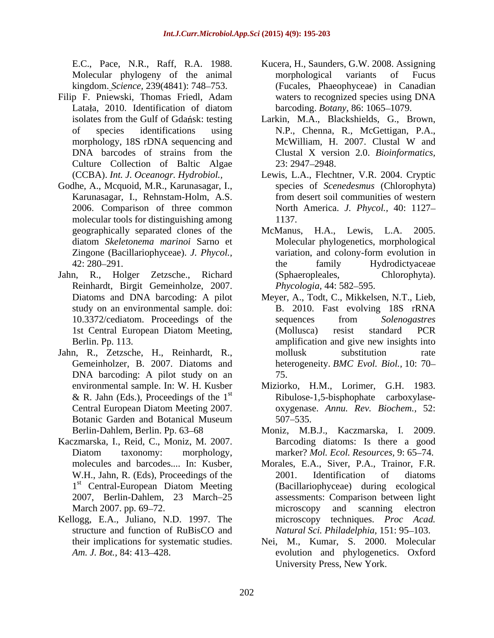kingdom. *Science*, 239(4841): 748–753.

- Filip F. Pniewski, Thomas Friedl, Adam Culture Collection of Baltic Algae 23: 2947–2948.
- Godhe, A., Mcquoid, M.R., Karunasagar, I., 2006. Comparison of three common molecular tools for distinguishing among
- Reinhardt, Birgit Gemeinholze, 2007. *Phycologia*, 44: 582–595.
- Jahn, R., Zetzsche, H., Reinhardt, R., DNA barcoding: A pilot study on an 75. Botanic Garden and Botanical Museum
- Kaczmarska, I., Reid, C., Moniz, M. 2007. Barcoding diatoms: Is there a good
- Kellogg, E.A., Juliano, N.D. 1997. The their implications for systematic studies.
- E.C., Pace, N.R., Raff, R.A. 1988. Kucera, H., Saunders, G.W. 2008. Assigning Molecular phylogeny of the animal morphological variants of Fucus Latała, 2010. Identification of diatom barcoding. Botany, 86: 1065–1079. Kucera, H., Saunders, G.W. 2008. Assigning morphological variants of Fucus (Fucales, Phaeophyceae) in Canadian waters to recognized species using DNA barcoding. *Botany*, 86: 1065–1079.
- isolates from the Gulf of Gdańsk: testing Larkin, M.A., Blackshields, G., Brown, of species identifications using M.P., Chenna, R., McGettigan, P.A., morphology, 18S rDNA sequencing and McWilliam, H. 2007. Clustal W and DNA barcodes of strains from the Clustal X version 2.0. Bioinformatics, McWilliam, H. 2007. Clustal W and Clustal X version 2.0. *Bioinformatics,*  23: 2947 2948.
- (CCBA). *Int. J. Oceanogr. Hydrobiol.,* Lewis, L.A., Flechtner, V.R. 2004. Cryptic Karunasagar, I., Rehnstam-Holm, A.S. from desert soil communities of western species of *Scenedesmus* (Chlorophyta) North America. *J. Phycol.,* 40: 1127 1137.
- geographically separated clones of the McManus, H.A., Lewis, L.A. 2005. diatom *Skeletonema marinoi* Sarno et Molecular phylogenetics, morphological Zingone (Bacillariophyceae). *J. Phycol.,* variation, and colony-form evolution in 42: 280–291. The family Hydrodicty aceae Jahn, R., Holger Zetzsche., Richard McManus, H.A., Lewis, L.A. the family Hydrodictyaceae (Sphaeropleales, Chlorophyta). *Phycologia,* 44: 582–595.
	- Diatoms and DNA barcoding: A pilot Meyer, A., Todt, C., Mikkelsen, N.T., Lieb, study on an environmental sample. doi: B. 2010. Fast evolving 18S rRNA 10.3372/cediatom. Proceedings of the 1st Central European Diatom Meeting, Berlin. Pp. 113. The amplification and give new insights into Gemeinholzer, B. 2007. Diatoms and heterogeneity. *BMC Evol. Biol.,* 10: 70 sequences from *Solenogastres* (Mollusca) resist standard PCR mollusk substitution rate 75.
	- environmental sample. In: W. H. Kusber Miziorko, H.M., Lorimer, G.H. 1983. & R. Jahn (Eds.), Proceedings of the  $1<sup>st</sup>$  Ribulose-1,5-bisphophate carboxylase-<br>Central European Diatom Meeting 2007. oxygenase. Annu. Rev. Biochem., 52: st Ribulose-1,5-bisphophate carboxylase- Central European Diatom Meeting 2007. oxygenase. Annu. Rev. Biochem., 52: oxygenase. *Annu. Rev. Biochem.,* 52: 507 535.
	- Berlin-Dahlem, Berlin. Pp. 63–68 Moniz, M.B.J., Kaczmarska, I. 2009. Diatom taxonomy: morphology, marker? Mol. Ecol. Resources, 9:65–74. marker? *Mol. Ecol. Resources,* 9: 65 74.
	- molecules and barcodes.... In: Kusber, Morales, E.A., Siver, P.A., Trainor, F.R. W.H., Jahn, R. (Eds), Proceedings of the 2001. Identification of diatoms 1<sup>st</sup> Central-European Diatom Meeting (Bacillariophyceae) during ecological <sup>st</sup> Central-European Diatom Meeting (Bacillariophyceae) during ecological 2007, Berlin-Dahlem, 23 March 25 assessments: Comparison between light March 2007. pp. 69–72. The example of the example of the example of the example of the example of the example of the example of the example of the example of the example of the example of the example of the example of the structure and function of RuBisCO and *Natural Sci. Philadelphia*, 151: 95–103. Morales, E.A., Siver, P.A., Trainor, F.R. 2001. Identification of diatoms microscopy and scanning electron microscopy techniques. *Proc Acad.*
	- Am. J. Bot., 84: 413–428. Nei, M., Kumar, S. 2000. Molecular University Press, New York.